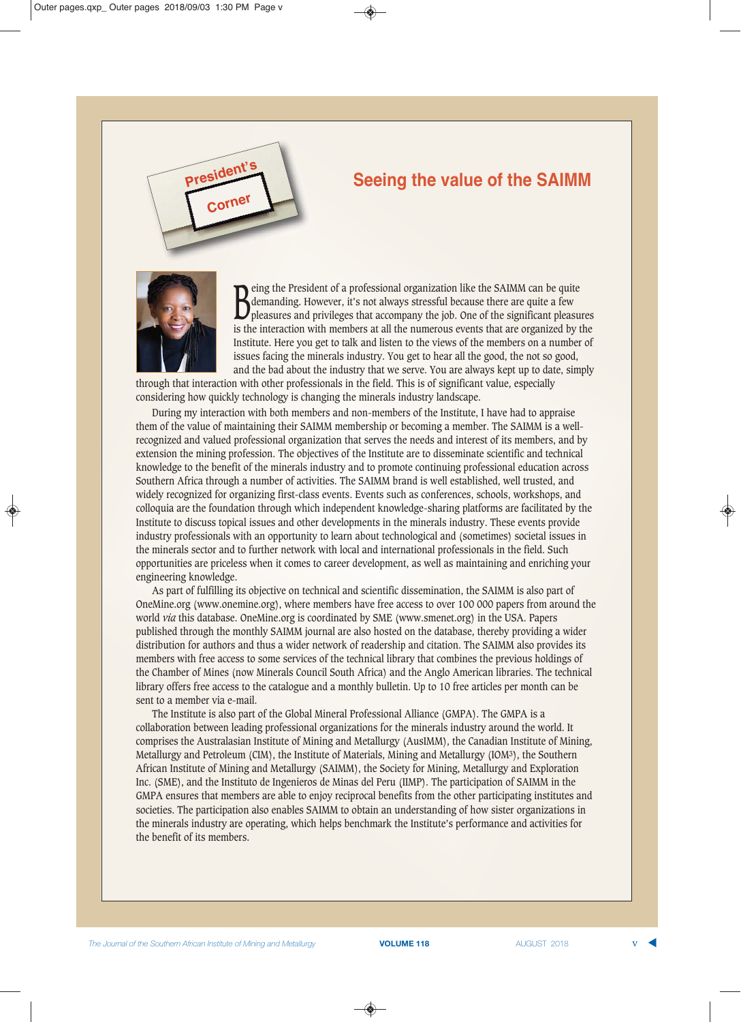

## **Seeing the value of the SAIMM**



Being the President of a professional organization like the SAIMM can be quite<br>demanding. However, it's not always stressful because there are quite a few<br>pleasures and privileges that accompany the job. One of the signifi demanding. However, it's not always stressful because there are quite a few pleasures and privileges that accompany the job. One of the significant pleasures is the interaction with members at all the numerous events that are organized by the Institute. Here you get to talk and listen to the views of the members on a number of issues facing the minerals industry. You get to hear all the good, the not so good, and the bad about the industry that we serve. You are always kept up to date, simply

through that interaction with other professionals in the field. This is of significant value, especially considering how quickly technology is changing the minerals industry landscape.

During my interaction with both members and non-members of the Institute, I have had to appraise them of the value of maintaining their SAIMM membership or becoming a member. The SAIMM is a wellrecognized and valued professional organization that serves the needs and interest of its members, and by extension the mining profession. The objectives of the Institute are to disseminate scientific and technical knowledge to the benefit of the minerals industry and to promote continuing professional education across Southern Africa through a number of activities. The SAIMM brand is well established, well trusted, and widely recognized for organizing first-class events. Events such as conferences, schools, workshops, and colloquia are the foundation through which independent knowledge-sharing platforms are facilitated by the Institute to discuss topical issues and other developments in the minerals industry. These events provide industry professionals with an opportunity to learn about technological and (sometimes) societal issues in the minerals sector and to further network with local and international professionals in the field. Such opportunities are priceless when it comes to career development, as well as maintaining and enriching your engineering knowledge.

As part of fulfilling its objective on technical and scientific dissemination, the SAIMM is also part of OneMine.org (www.onemine.org), where members have free access to over 100 000 papers from around the world *via* this database. OneMine.org is coordinated by SME (www.smenet.org) in the USA. Papers published through the monthly SAIMM journal are also hosted on the database, thereby providing a wider distribution for authors and thus a wider network of readership and citation. The SAIMM also provides its members with free access to some services of the technical library that combines the previous holdings of the Chamber of Mines (now Minerals Council South Africa) and the Anglo American libraries. The technical library offers free access to the catalogue and a monthly bulletin. Up to 10 free articles per month can be sent to a member via e-mail.

The Institute is also part of the Global Mineral Professional Alliance (GMPA). The GMPA is a collaboration between leading professional organizations for the minerals industry around the world. It comprises the Australasian Institute of Mining and Metallurgy (AusIMM), the Canadian Institute of Mining, Metallurgy and Petroleum (CIM), the Institute of Materials, Mining and Metallurgy (IOM3), the Southern African Institute of Mining and Metallurgy (SAIMM), the Society for Mining, Metallurgy and Exploration Inc. (SME), and the Instituto de Ingenieros de Minas del Peru (IIMP). The participation of SAIMM in the GMPA ensures that members are able to enjoy reciprocal benefits from the other participating institutes and societies. The participation also enables SAIMM to obtain an understanding of how sister organizations in the minerals industry are operating, which helps benchmark the Institute's performance and activities for the benefit of its members.